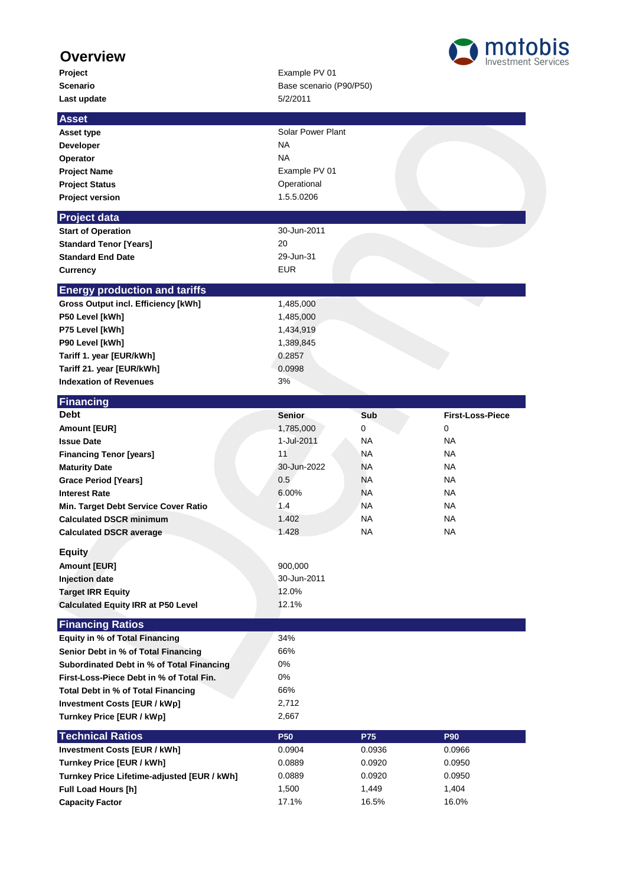## **Overview**

**Last update** 5/2/2011

## **Project** Example PV 01 Scenario **Scenario** Base scenario (P90/P50)



| <b>Asset</b>                                     |                   |           |                         |
|--------------------------------------------------|-------------------|-----------|-------------------------|
| <b>Asset type</b>                                | Solar Power Plant |           |                         |
| <b>Developer</b>                                 | <b>NA</b>         |           |                         |
| Operator                                         | <b>NA</b>         |           |                         |
| <b>Project Name</b>                              | Example PV 01     |           |                         |
| <b>Project Status</b>                            | Operational       |           |                         |
| <b>Project version</b>                           | 1.5.5.0206        |           |                         |
| <b>Project data</b>                              |                   |           |                         |
| <b>Start of Operation</b>                        | 30-Jun-2011       |           |                         |
| <b>Standard Tenor [Years]</b>                    | 20                |           |                         |
| <b>Standard End Date</b>                         | 29-Jun-31         |           |                         |
| <b>Currency</b>                                  | <b>EUR</b>        |           |                         |
| <b>Energy production and tariffs</b>             |                   |           |                         |
| <b>Gross Output incl. Efficiency [kWh]</b>       | 1,485,000         |           |                         |
| P50 Level [kWh]                                  | 1,485,000         |           |                         |
| P75 Level [kWh]                                  | 1,434,919         |           |                         |
| P90 Level [kWh]                                  | 1,389,845         |           |                         |
| Tariff 1. year [EUR/kWh]                         | 0.2857            |           |                         |
| Tariff 21. year [EUR/kWh]                        | 0.0998            |           |                         |
| <b>Indexation of Revenues</b>                    | 3%                |           |                         |
| Financing                                        |                   |           |                         |
| <b>Debt</b>                                      | <b>Senior</b>     | Sub       | <b>First-Loss-Piece</b> |
| Amount [EUR]                                     | 1,785,000         | 0         | 0                       |
| <b>Issue Date</b>                                | 1-Jul-2011        | <b>NA</b> | NA.                     |
| <b>Financing Tenor [years]</b>                   | 11                | <b>NA</b> | NA.                     |
| <b>Maturity Date</b>                             | 30-Jun-2022       | <b>NA</b> | NA.                     |
| <b>Grace Period [Years]</b>                      | 0.5               | <b>NA</b> | <b>NA</b>               |
| <b>Interest Rate</b>                             | 6.00%             | <b>NA</b> | <b>NA</b>               |
| Min. Target Debt Service Cover Ratio             | 1.4               | NA.       | NA.                     |
| <b>Calculated DSCR minimum</b>                   | 1.402             | <b>NA</b> | NA.                     |
| <b>Calculated DSCR average</b>                   | 1.428             | <b>NA</b> | NA.                     |
| <b>Equity</b>                                    |                   |           |                         |
| <b>Amount [EUR]</b>                              | 900,000           |           |                         |
| <b>Injection date</b>                            | 30-Jun-2011       |           |                         |
| <b>Target IRR Equity</b>                         | 12.0%             |           |                         |
| <b>Calculated Equity IRR at P50 Level</b>        | 12.1%             |           |                         |
| <b>Financing Ratios</b>                          |                   |           |                         |
| <b>Equity in % of Total Financing</b>            | 34%               |           |                         |
| Senior Debt in % of Total Financing              | 66%               |           |                         |
| <b>Subordinated Debt in % of Total Financing</b> | 0%                |           |                         |
| First-Loss-Piece Debt in % of Total Fin.         | $0\%$             |           |                         |
| Total Debt in % of Total Financing               | 66%               |           |                         |
| <b>Investment Costs [EUR / kWp]</b>              | 2,712             |           |                         |
| Turnkey Price [EUR / kWp]                        | 2,667             |           |                         |
| <b>Technical Ratios</b>                          | <b>P50</b>        | P75       | P90                     |
| <b>Investment Costs [EUR / kWh]</b>              | 0.0904            | 0.0936    | 0.0966                  |
| Turnkey Price [EUR / kWh]                        | 0.0889            | 0.0920    | 0.0950                  |
| Turnkey Price Lifetime-adjusted [EUR / kWh]      | 0.0889            | 0.0920    | 0.0950                  |
| <b>Full Load Hours [h]</b>                       | 1,500             | 1,449     | 1,404                   |
| <b>Capacity Factor</b>                           | 17.1%             | 16.5%     | 16.0%                   |
|                                                  |                   |           |                         |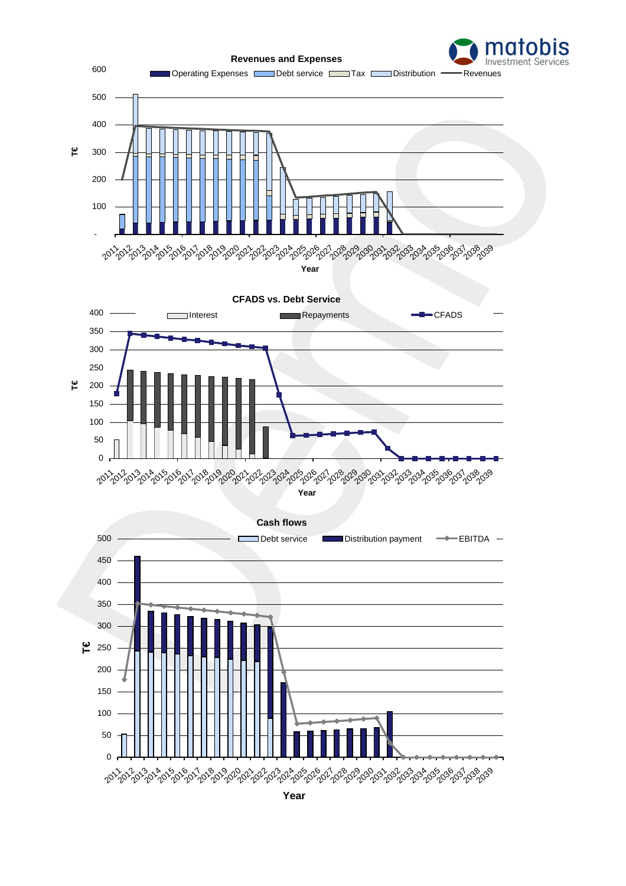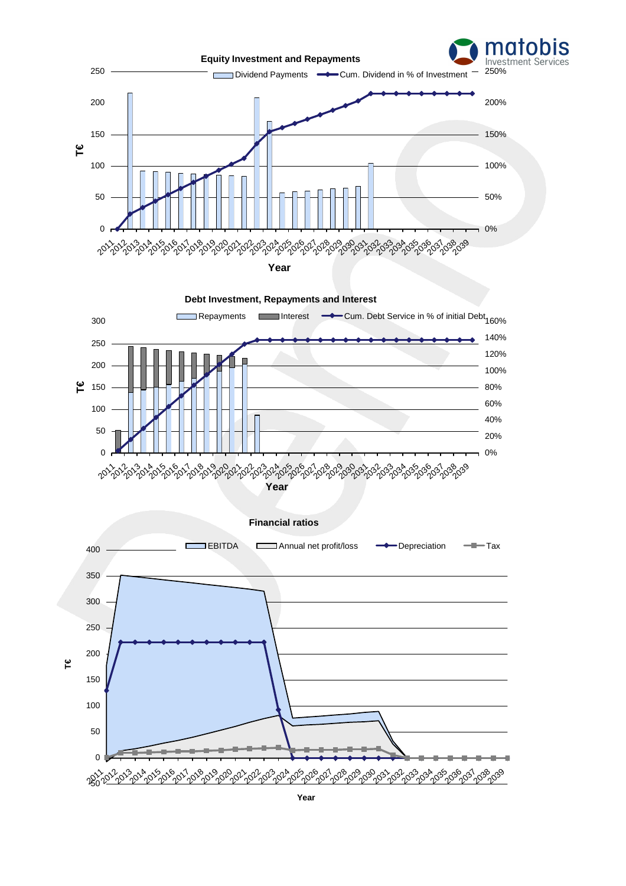

**Year**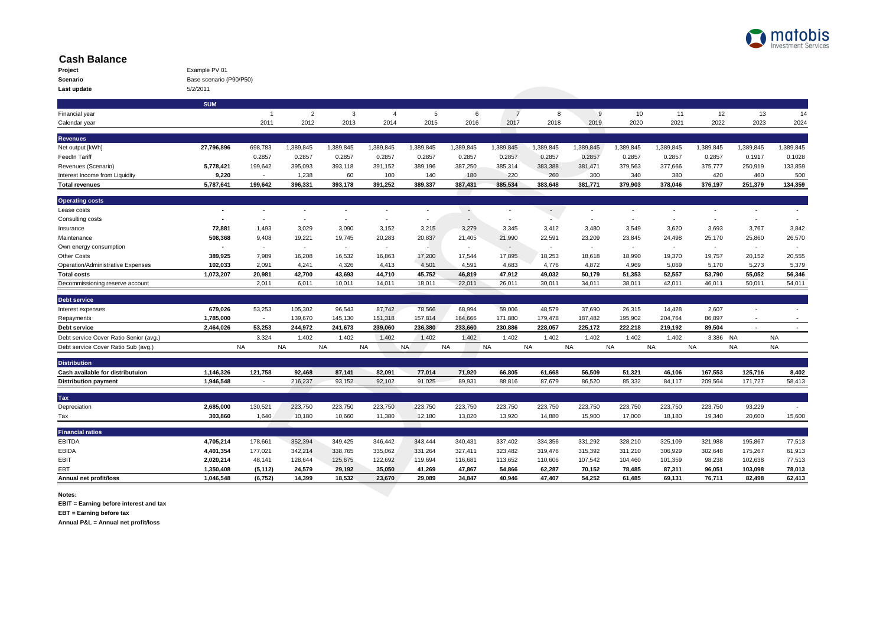

## **Cash Balance**

| Project     | Example PV 01           |
|-------------|-------------------------|
| Scenario    | Base scenario (P90/P50) |
| Last update | 5/2/2011                |

|                                        | <b>SUM</b> |                |                |           |                |           |                          |                |           |           |           |           |           |                          |                |
|----------------------------------------|------------|----------------|----------------|-----------|----------------|-----------|--------------------------|----------------|-----------|-----------|-----------|-----------|-----------|--------------------------|----------------|
| Financial year                         |            | $\overline{1}$ | $\overline{2}$ | 3         | $\overline{4}$ | 5         | 6                        | $\overline{7}$ | 8         | 9         | 10        | 11        | 12        | 13                       | 14             |
| Calendar year                          |            | 2011           | 2012           | 2013      | 2014           | 2015      | 2016                     | 2017           | 2018      | 2019      | 2020      | 2021      | 2022      | 2023                     | 2024           |
| <b>Revenues</b>                        |            |                |                |           |                |           |                          |                |           |           |           |           |           |                          |                |
| Net output [kWh]                       | 27,796,896 | 698,783        | 1,389,845      | 1,389,845 | 1,389,845      | 1,389,845 | 1,389,845                | 1,389,845      | 1,389,845 | 1,389,845 | 1,389,845 | 1,389,845 | 1,389,845 | 1,389,845                | 1,389,845      |
| FeedIn Tariff                          |            | 0.2857         | 0.2857         | 0.2857    | 0.2857         | 0.2857    | 0.2857                   | 0.2857         | 0.2857    | 0.2857    | 0.2857    | 0.2857    | 0.2857    | 0.1917                   | 0.1028         |
| Revenues (Scenario)                    | 5,778,421  | 199,642        | 395,093        | 393,118   | 391,152        | 389,196   | 387,250                  | 385,314        | 383,388   | 381,471   | 379,563   | 377,666   | 375,777   | 250,919                  | 133,859        |
| Interest Income from Liquidity         | 9,220      | $\sim$         | 1,238          | 60        | 100            | 140       | 180                      | 220            | 260       | 300       | 340       | 380       | 420       | 460                      | 500            |
| <b>Total revenues</b>                  | 5,787,641  | 199,642        | 396,331        | 393,178   | 391,252        | 389,337   | 387,431                  | 385,534        | 383,648   | 381,771   | 379,903   | 378,046   | 376,197   | 251,379                  | 134,359        |
| <b>Operating costs</b>                 |            |                |                |           |                |           |                          |                |           |           |           |           |           |                          |                |
| Lease costs                            |            |                |                |           |                |           | ÷,                       |                |           |           |           |           |           |                          |                |
| Consulting costs                       |            | $\sim$         | ٠              | $\sim$    |                | ٠         | $\overline{\phantom{a}}$ | $\sim$         |           | $\sim$    | ٠         | $\sim$    |           | $\sim$                   |                |
| Insurance                              | 72,881     | 1,493          | 3,029          | 3,090     | 3,152          | 3,215     | 3,279                    | 3,345          | 3,412     | 3,480     | 3,549     | 3,620     | 3,693     | 3,767                    | 3,842          |
| Maintenance                            | 508,368    | 9,408          | 19,221         | 19,745    | 20,283         | 20,837    | 21,405                   | 21,990         | 22,591    | 23,209    | 23,845    | 24,498    | 25,170    | 25,860                   | 26,570         |
| Own energy consumption                 |            | $\sim$         | $\sim$         | $\sim$    | $\sim$         | ٠         | $\overline{\phantom{a}}$ | $\sim$         |           | $\sim$    | $\sim$    | $\sim$    | $\sim$    | $\sim$                   | $\sim$         |
| <b>Other Costs</b>                     | 389,925    | 7,989          | 16,208         | 16,532    | 16,863         | 17,200    | 17,544                   | 17,895         | 18,253    | 18,618    | 18,990    | 19,370    | 19,757    | 20,152                   | 20,555         |
| Operation/Administrative Expenses      | 102,033    | 2,091          | 4,241          | 4,326     | 4,413          | 4,501     | 4,591                    | 4,683          | 4,776     | 4,872     | 4,969     | 5,069     | 5,170     | 5,273                    | 5,379          |
| <b>Total costs</b>                     | 1,073,207  | 20,981         | 42,700         | 43,693    | 44,710         | 45,752    | 46,819                   | 47,912         | 49,032    | 50,179    | 51.353    | 52.557    | 53,790    | 55,052                   | 56,346         |
| Decommissioning reserve account        |            | 2,011          | 6,011          | 10.011    | 14,011         | 18,011    | 22,011                   | 26,011         | 30,011    | 34.011    | 38.011    | 42.011    | 46,011    | 50.011                   | 54,011         |
| Debt service                           |            |                |                |           |                |           |                          |                |           |           |           |           |           |                          |                |
| Interest expenses                      | 679.026    | 53,253         | 105,302        | 96.543    | 87.742         | 78.566    | 68.994                   | 59.006         | 48.579    | 37.690    | 26,315    | 14.428    | 2.607     | ٠                        | $\sim$         |
| Repayments                             | 1,785,000  | $\sim$         | 139,670        | 145,130   | 151,318        | 157,814   | 164,666                  | 171,880        | 179.478   | 187,482   | 195,902   | 204,764   | 86,897    | ٠                        |                |
| Debt service                           | 2,464,026  | 53,253         | 244,972        | 241,673   | 239,060        | 236,380   | 233,660                  | 230,886        | 228,057   | 225,172   | 222,218   | 219,192   | 89,504    | $\overline{\phantom{a}}$ | $\blacksquare$ |
| Debt service Cover Ratio Senior (avg.) |            | 3.324          | 1.402          | 1.402     | 1.402          | 1.402     | 1.402                    | 1.402          | 1.402     | 1.402     | 1.402     | 1.402     | 3.386 NA  |                          | <b>NA</b>      |
| Debt service Cover Ratio Sub (avg.)    |            | <b>NA</b>      | <b>NA</b>      | <b>NA</b> | <b>NA</b>      | <b>NA</b> | <b>NA</b>                | <b>NA</b>      | <b>NA</b> | <b>NA</b> | <b>NA</b> | <b>NA</b> | <b>NA</b> | <b>NA</b>                | <b>NA</b>      |
| <b>Distribution</b>                    |            |                |                |           |                |           |                          |                |           |           |           |           |           |                          |                |
| Cash available for distributuion       | 1,146,326  | 121,758        | 92,468         | 87,141    | 82,091         | 77,014    | 71,920                   | 66,805         | 61,668    | 56,509    | 51,321    | 46,106    | 167,553   | 125,716                  | 8,402          |
| <b>Distribution payment</b>            | 1,946,548  | $\sim$         | 216,237        | 93,152    | 92,102         | 91.025    | 89,931                   | 88,816         | 87,679    | 86,520    | 85,332    | 84,117    | 209,564   | 171,727                  | 58,413         |
| Tax                                    |            |                |                |           |                |           |                          |                |           |           |           |           |           |                          |                |
| Depreciation                           | 2,685,000  | 130,521        | 223,750        | 223,750   | 223,750        | 223,750   | 223,750                  | 223,750        | 223,750   | 223,750   | 223,750   | 223,750   | 223,750   | 93,229                   | ×.             |
| Tax                                    | 303,860    | 1,640          | 10,180         | 10,660    | 11,380         | 12,180    | 13,020                   | 13,920         | 14,880    | 15,900    | 17,000    | 18,180    | 19,340    | 20,600                   | 15,600         |
| <b>Financial ratios</b>                |            |                |                |           |                |           |                          |                |           |           |           |           |           |                          |                |
| <b>EBITDA</b>                          | 4,705,214  | 178,661        | 352,394        | 349,425   | 346,442        | 343,444   | 340,431                  | 337,402        | 334,356   | 331,292   | 328,210   | 325,109   | 321,988   | 195,867                  | 77,513         |
| <b>EBIDA</b>                           | 4,401,354  | 177,021        | 342,214        | 338,765   | 335,062        | 331,264   | 327,411                  | 323,482        | 319,476   | 315,392   | 311,210   | 306,929   | 302,648   | 175,267                  | 61,913         |
| EBIT                                   | 2,020,214  | 48,141         | 128,644        | 125,675   | 122,692        | 119,694   | 116,681                  | 113,652        | 110,606   | 107,542   | 104,460   | 101,359   | 98,238    | 102,638                  | 77,513         |
| EBT                                    | 1,350,408  | (5, 112)       | 24,579         | 29,192    | 35,050         | 41.269    | 47,867                   | 54,866         | 62,287    | 70,152    | 78,485    | 87,311    | 96.051    | 103,098                  | 78,013         |
| Annual net profit/loss                 | 1,046,548  | (6, 752)       | 14,399         | 18.532    | 23.670         | 29.089    | 34.847                   | 40.946         | 47,407    | 54.252    | 61,485    | 69,131    | 76,711    | 82.498                   | 62,413         |

**Notes:**

**EBIT = Earning before interest and tax**

**EBT = Earning before tax**

**Annual P&L = Annual net profit/loss**